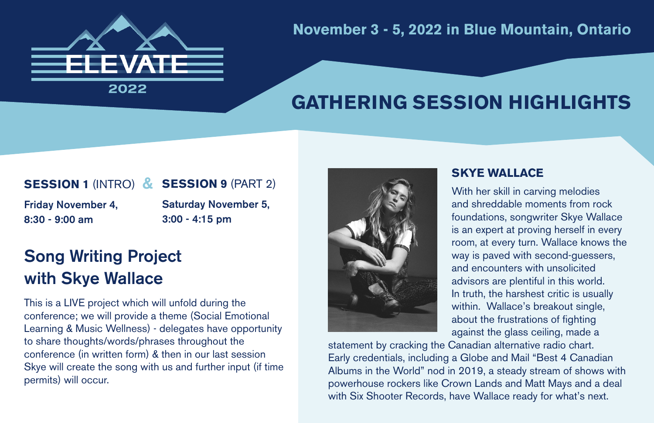

**November 3 - 5, 2022 in Blue Mountain, Ontario**

## **GATHERING SESSION HIGHLIGHTS**

#### **SESSION 1** (INTRO) & **SESSION 9** (PART 2)

Friday November 4, 8:30 - 9:00 am

Saturday November 5, 3:00 - 4:15 pm

## Song Writing Project with Skye Wallace

This is a LIVE project which will unfold during the conference; we will provide a theme (Social Emotional Learning & Music Wellness) - delegates have opportunity to share thoughts/words/phrases throughout the conference (in written form) & then in our last session Skye will create the song with us and further input (if time permits) will occur.



### **SKYE WALLACE**

With her skill in carving melodies and shreddable moments from rock foundations, songwriter Skye Wallace is an expert at proving herself in every room, at every turn. Wallace knows the way is paved with second-guessers, and encounters with unsolicited advisors are plentiful in this world. In truth, the harshest critic is usually within. Wallace's breakout single, about the frustrations of fighting against the glass ceiling, made a

statement by cracking the Canadian alternative radio chart. Early credentials, including a Globe and Mail "Best 4 Canadian Albums in the World" nod in 2019, a steady stream of shows with powerhouse rockers like Crown Lands and Matt Mays and a deal with Six Shooter Records, have Wallace ready for what's next.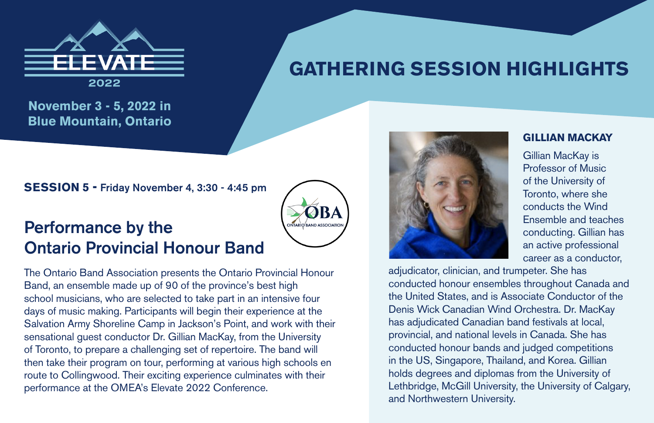

# **GATHERING SESSION HIGHLIGHTS**

**November 3 - 5, 2022 in Blue Mountain, Ontario**

**SESSION 5 -** Friday November 4, 3:30 - 4:45 pm

### Performance by the Ontario Provincial Honour Band

The Ontario Band Association presents the Ontario Provincial Honour Band, an ensemble made up of 90 of the province's best high school musicians, who are selected to take part in an intensive four days of music making. Participants will begin their experience at the Salvation Army Shoreline Camp in Jackson's Point, and work with their sensational guest conductor Dr. Gillian MacKay, from the University of Toronto, to prepare a challenging set of repertoire. The band will then take their program on tour, performing at various high schools en route to Collingwood. Their exciting experience culminates with their performance at the OMEA's Elevate 2022 Conference.



#### **GILLIAN MACKAY**

Gillian MacKay is Professor of Music of the University of Toronto, where she conducts the Wind Ensemble and teaches conducting. Gillian has an active professional career as a conductor,

adjudicator, clinician, and trumpeter. She has conducted honour ensembles throughout Canada and the United States, and is Associate Conductor of the Denis Wick Canadian Wind Orchestra. Dr. MacKay has adjudicated Canadian band festivals at local, provincial, and national levels in Canada. She has conducted honour bands and judged competitions in the US, Singapore, Thailand, and Korea. Gillian holds degrees and diplomas from the University of Lethbridge, McGill University, the University of Calgary, and Northwestern University.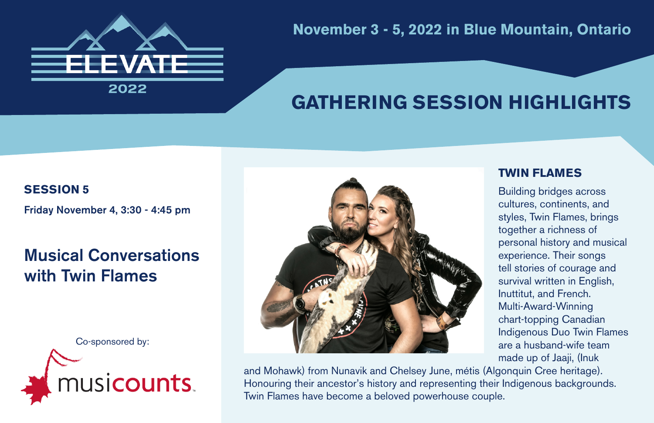

**November 3 - 5, 2022 in Blue Mountain, Ontario**

## **GATHERING SESSION HIGHLIGHTS**

#### **SESSION 5**

Friday November 4, 3:30 - 4:45 pm

### Musical Conversations with Twin Flames





### **TWIN FLAMES**

Building bridges across cultures, continents, and styles, Twin Flames, brings together a richness of personal history and musical experience. Their songs tell stories of courage and survival written in English, Inuttitut, and French. Multi-Award-Winning chart-topping Canadian Indigenous Duo Twin Flames are a husband-wife team made up of Jaaji, (Inuk

and Mohawk) from Nunavik and Chelsey June, métis (Algonquin Cree heritage). Honouring their ancestor's history and representing their Indigenous backgrounds. Twin Flames have become a beloved powerhouse couple.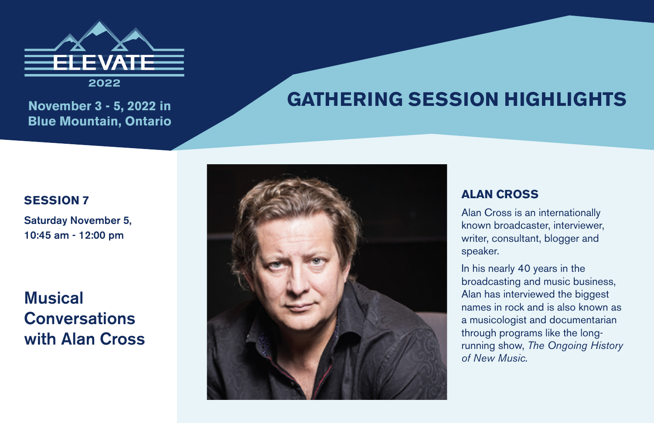

**Blue Mountain, Ontario**

## November 3 - 5, 2022 in **GATHERING SESSION HIGHLIGHTS**

### **SESSION 7**

Saturday November 5, 10:45 am - 12:00 pm

### **Musical Conversations** with Alan Cross



### **ALAN CROSS**

Alan Cross is an internationally known broadcaster, interviewer, writer, consultant, blogger and speaker.

In his nearly 40 years in the broadcasting and music business, Alan has interviewed the biggest names in rock and is also known as a musicologist and documentarian through programs like the longrunning show, *The Ongoing History of New Music.*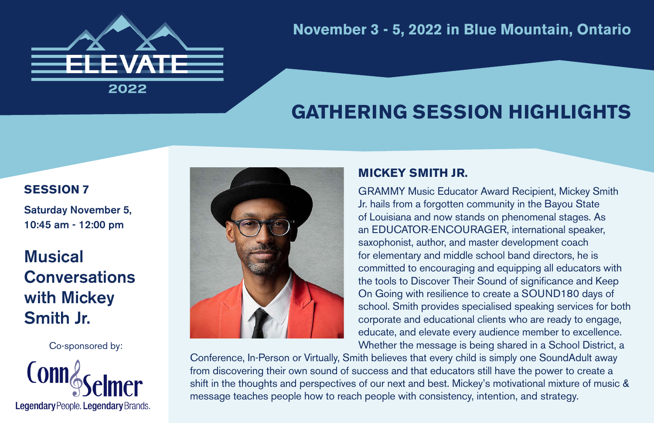

### **November 3 - 5, 2022 in Blue Mountain, Ontario**

## **GATHERING SESSION HIGHLIGHTS**

### **SESSION 7**

Saturday November 5, 10:45 am - 12:00 pm

## **Musical Conversations** with Mickey Smith Jr.

Co-sponsored by:





### **MICKEY SMITH JR.**

GRAMMY Music Educator Award Recipient, Mickey Smith Jr. hails from a forgotten community in the Bayou State of Louisiana and now stands on phenomenal stages. As an EDUCATOR-ENCOURAGER, international speaker, saxophonist, author, and master development coach for elementary and middle school band directors, he is committed to encouraging and equipping all educators with the tools to Discover Their Sound of significance and Keep On Going with resilience to create a SOUND180 days of school. Smith provides specialised speaking services for both corporate and educational clients who are ready to engage, educate, and elevate every audience member to excellence. Whether the message is being shared in a School District, a

Conference, In-Person or Virtually, Smith believes that every child is simply one SoundAdult away from discovering their own sound of success and that educators still have the power to create a shift in the thoughts and perspectives of our next and best. Mickey's motivational mixture of music & message teaches people how to reach people with consistency, intention, and strategy.